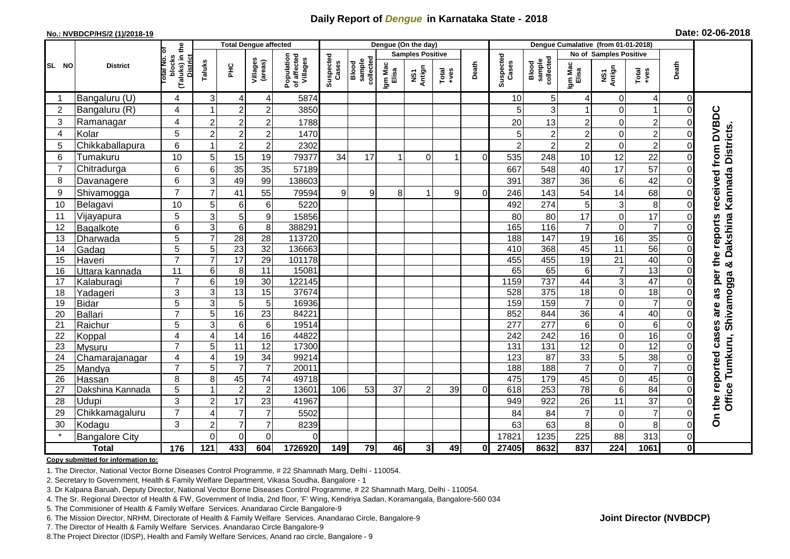## **Daily Report of** *Dengue* **in Karnataka State - 2018**

#### **No.: NVBDCP/HS/2 (1)/2018-19**

|  | Date: 02-06-2018 |  |
|--|------------------|--|
|--|------------------|--|

|                |                           |                     |                                                       | <b>Total Dengue affected</b> |                                  |                     | Dengue (On the day)                   |                    |                              |                         |               |                                                                                                                                                                                                                                                                                                                                                                                                             |                  | Dengue Cumalative (from 01-01-2018) |                              |                               |                       |                |                               |  |
|----------------|---------------------------|---------------------|-------------------------------------------------------|------------------------------|----------------------------------|---------------------|---------------------------------------|--------------------|------------------------------|-------------------------|---------------|-------------------------------------------------------------------------------------------------------------------------------------------------------------------------------------------------------------------------------------------------------------------------------------------------------------------------------------------------------------------------------------------------------------|------------------|-------------------------------------|------------------------------|-------------------------------|-----------------------|----------------|-------------------------------|--|
|                |                           |                     |                                                       |                              |                                  |                     |                                       |                    |                              | <b>Samples Positive</b> |               |                                                                                                                                                                                                                                                                                                                                                                                                             |                  |                                     |                              | <b>No of Samples Positive</b> |                       |                |                               |  |
| SL NO          | <b>District</b>           |                     | (Taluks) in the<br>Total No. of<br>blocks<br>District | Taluks                       | ЭHС                              | Villages<br>(areas) | Population<br>of affected<br>Villages | Suspected<br>Cases | sample<br>collected<br>Blood | Igm Mac<br>Elisa        | NS1<br>Antign | $\begin{array}{c}\n\text{Total} \\ \text{1-4} \\ \text{1-4} \\ \text{1-4} \\ \text{1-4} \\ \text{1-4} \\ \text{1-4} \\ \text{1-4} \\ \text{1-4} \\ \text{1-4} \\ \text{1-4} \\ \text{1-4} \\ \text{1-4} \\ \text{1-4} \\ \text{1-4} \\ \text{1-4} \\ \text{1-4} \\ \text{1-4} \\ \text{1-4} \\ \text{1-4} \\ \text{1-4} \\ \text{1-4} \\ \text{1-4} \\ \text{1-4} \\ \text{1-4} \\ \text{1-4} \\ \text{1-4$ | Death            | Suspected<br>Cases                  | sample<br>collected<br>Blood | Igm Mad<br>Elisa              | NS1<br>Antign         | Total<br>+ves  | Death                         |  |
|                | Bangaluru (U)             | 4                   | $\mathbf{3}$                                          | $\overline{4}$               | 4                                | 5874                |                                       |                    |                              |                         |               |                                                                                                                                                                                                                                                                                                                                                                                                             | 10               | 5                                   | 4                            | $\mathbf 0$                   | 4                     | 0              |                               |  |
| $\overline{2}$ | Bangaluru (R)             | 4                   |                                                       | $\overline{c}$               | $\overline{c}$                   | 3850                |                                       |                    |                              |                         |               |                                                                                                                                                                                                                                                                                                                                                                                                             | 5                | 3                                   | $\mathbf{1}$                 | $\Omega$                      | $\overline{1}$        | $\Omega$       |                               |  |
| 3              | Ramanagar                 | 4                   | $\overline{c}$                                        | $\overline{c}$               | $\overline{2}$                   | 1788                |                                       |                    |                              |                         |               |                                                                                                                                                                                                                                                                                                                                                                                                             | 20               | 13                                  | $\overline{c}$               | 0                             | $\overline{c}$        |                | received from DVBDC           |  |
| $\overline{4}$ | Kolar                     | 5                   | $\overline{2}$                                        | $\overline{c}$               | $\overline{c}$                   | 1470                |                                       |                    |                              |                         |               |                                                                                                                                                                                                                                                                                                                                                                                                             | 5                | $\overline{c}$                      | $\overline{2}$               | $\mathbf 0$                   | $\overline{2}$        |                |                               |  |
| 5              | Chikkaballapura           | 6                   |                                                       | $\overline{2}$               | $\overline{c}$                   | 2302                |                                       |                    |                              |                         |               |                                                                                                                                                                                                                                                                                                                                                                                                             | $\overline{2}$   | $\mathbf 2$                         | $\overline{c}$               | $\mathbf 0$                   | $2^{1}$               | $\Omega$       |                               |  |
| 6              | Tumakuru                  | 10                  | 5                                                     | 15                           | 19                               | 79377               | 34                                    | 17                 |                              | $\Omega$                |               | $\Omega$                                                                                                                                                                                                                                                                                                                                                                                                    | 535              | 248                                 | 10                           | 12                            | 22                    |                |                               |  |
| $\overline{7}$ | Chitradurga               | 6                   | 6                                                     | 35                           | 35                               | 57189               |                                       |                    |                              |                         |               |                                                                                                                                                                                                                                                                                                                                                                                                             | 667              | 548                                 | 40                           | 17                            | 57                    |                |                               |  |
| 8              | Davanagere                | 6                   | 3                                                     | 49                           | 99                               | 138603              |                                       |                    |                              |                         |               |                                                                                                                                                                                                                                                                                                                                                                                                             | 391              | 387                                 | 36                           | 6                             | 42                    |                |                               |  |
| 9              | Shivamogga                | $\overline{7}$      | $\overline{7}$                                        | 41                           | 55                               | 79594               | 9                                     | 9                  | 8                            |                         | 9             | $\Omega$                                                                                                                                                                                                                                                                                                                                                                                                    | 246              | 143                                 | 54                           | 14                            | 68                    |                | & Dakshina Kannada Districts. |  |
| 10             | Belagavi                  | 10                  | 5                                                     | 6                            | 6                                | 5220                |                                       |                    |                              |                         |               |                                                                                                                                                                                                                                                                                                                                                                                                             | 492              | 274                                 | 5                            | 3                             | 8                     |                |                               |  |
| 11             | Vijayapura                | 5                   | 3                                                     | 5                            | 9                                | 15856               |                                       |                    |                              |                         |               |                                                                                                                                                                                                                                                                                                                                                                                                             | 80               | 80                                  | 17                           | $\mathbf 0$                   | 17                    |                |                               |  |
| 12             | Bagalkote                 | 6                   | 3                                                     | 6                            | 8                                | 388291              |                                       |                    |                              |                         |               |                                                                                                                                                                                                                                                                                                                                                                                                             | 165              | 116                                 | $\overline{7}$               | $\Omega$                      | $\overline{7}$        |                | reports                       |  |
| 13             | Dharwada                  | $\overline{5}$      | $\overline{7}$                                        | $\overline{28}$              | $\overline{28}$                  | 113720              |                                       |                    |                              |                         |               |                                                                                                                                                                                                                                                                                                                                                                                                             | 188              | 147                                 | 19                           | 16                            | 35                    | $\Omega$       |                               |  |
| 14             | Gadag                     | $\overline{5}$      | 5                                                     | $\overline{23}$              | $\overline{32}$                  | 136663              |                                       |                    |                              |                         |               |                                                                                                                                                                                                                                                                                                                                                                                                             | 410              | 368                                 | 45                           | 11                            | $\overline{56}$       |                |                               |  |
| 15             | Haveri                    | $\overline{7}$      | $\overline{7}$                                        | $\overline{17}$              | 29                               | 101178              |                                       |                    |                              |                         |               |                                                                                                                                                                                                                                                                                                                                                                                                             | 455              | 455                                 | 19                           | 21                            | 40                    |                | the                           |  |
| 16             | Uttara kannada            | 11                  | 6                                                     | 8                            | 11                               | 15081               |                                       |                    |                              |                         |               |                                                                                                                                                                                                                                                                                                                                                                                                             | 65               | 65                                  | $\,6$                        | $\overline{7}$                | 13                    |                | per                           |  |
| 17             | Kalaburagi                | $\overline{7}$      | 6                                                     | 19                           | 30                               | 122145              |                                       |                    |                              |                         |               |                                                                                                                                                                                                                                                                                                                                                                                                             | 1159             | 737                                 | 44                           | 3                             | $\overline{47}$       |                |                               |  |
| 18             | Yadageri                  | 3                   | 3                                                     | 13                           | 15                               | 37674               |                                       |                    |                              |                         |               |                                                                                                                                                                                                                                                                                                                                                                                                             | 528              | 375                                 | 18                           | $\mathbf 0$                   | 18                    |                | as                            |  |
| 19             | <b>Bidar</b>              | 5                   | 3                                                     | $\sqrt{5}$                   | 5                                | 16936               |                                       |                    |                              |                         |               |                                                                                                                                                                                                                                                                                                                                                                                                             | 159              | 159                                 | $\overline{7}$               | 0                             | $\overline{7}$        |                | are                           |  |
| 20             | Ballari                   | $\overline{7}$      | 5                                                     | 16                           | 23                               | 84221               |                                       |                    |                              |                         |               |                                                                                                                                                                                                                                                                                                                                                                                                             | 852              | 844                                 | 36                           | $\overline{4}$                | 40                    |                |                               |  |
| 21             | Raichur                   | 5                   | 3                                                     | $6\phantom{1}6$              | $\,6\,$                          | 19514               |                                       |                    |                              |                         |               |                                                                                                                                                                                                                                                                                                                                                                                                             | $\overline{277}$ | 277                                 | 6                            | $\mathbf 0$                   | $\overline{6}$        |                | cases                         |  |
| 22             | Koppal                    | 4                   | $\boldsymbol{\Delta}$                                 | 14                           | 16                               | 44822               |                                       |                    |                              |                         |               |                                                                                                                                                                                                                                                                                                                                                                                                             | 242              | 242                                 | 16                           | $\Omega$                      | 16                    |                |                               |  |
| 23             | Mysuru                    | $\overline{7}$      | 5                                                     | 11                           | 12                               | 17300               |                                       |                    |                              |                         |               |                                                                                                                                                                                                                                                                                                                                                                                                             | $\overline{131}$ | $\overline{131}$                    | 12                           | $\mathbf 0$                   | 12                    |                |                               |  |
| 24             | Chamarajanagar            | $\overline{4}$      | $\overline{4}$                                        | 19                           | 34                               | 99214               |                                       |                    |                              |                         |               |                                                                                                                                                                                                                                                                                                                                                                                                             | 123              | $\overline{87}$                     | 33                           | 5                             | $\overline{38}$       |                | Office Tumkuru, Shivamogga    |  |
| 25             | Mandya                    | $\overline{7}$      | 5                                                     | $\overline{7}$               | $\overline{7}$                   | 20011               |                                       |                    |                              |                         |               |                                                                                                                                                                                                                                                                                                                                                                                                             | 188              | 188                                 | $\overline{7}$               | $\mathbf 0$                   | $\overline{7}$        |                |                               |  |
| 26             | Hassan                    | 8                   | 8                                                     | 45                           | $\overline{74}$                  | 49718<br>13601      |                                       | 53                 | 37                           |                         |               | $\Omega$                                                                                                                                                                                                                                                                                                                                                                                                    | 475<br>618       | 179<br>253                          | 45<br>$\overline{78}$        | $\mathbf 0$                   | 45<br>$\overline{84}$ | $\Omega$       |                               |  |
| 27             | Dakshina Kannada<br>Udupi | 5                   |                                                       | $\overline{c}$<br>17         | $\mathbf 2$                      |                     | 106                                   |                    |                              | $\overline{2}$          | 39            |                                                                                                                                                                                                                                                                                                                                                                                                             |                  |                                     |                              | 6                             |                       | 0              |                               |  |
| 28             |                           | 3<br>$\overline{7}$ | $\overline{2}$                                        | 7                            | 23                               | 41967               |                                       |                    |                              |                         |               |                                                                                                                                                                                                                                                                                                                                                                                                             | 949              | 922                                 | 26                           | 11                            | 37<br>$\overline{7}$  | ΩI             | the reported                  |  |
| 29<br>30       | Chikkamagaluru            | 3                   | 4                                                     | $\overline{7}$               | $\overline{7}$<br>$\overline{7}$ | 5502                |                                       |                    |                              |                         |               |                                                                                                                                                                                                                                                                                                                                                                                                             | 84               | 84                                  | $\overline{7}$<br>8          | $\mathbf 0$                   |                       | ΩI<br>0        | δ                             |  |
|                | Kodagu                    |                     | $\overline{2}$                                        |                              |                                  | 8239                |                                       |                    |                              |                         |               |                                                                                                                                                                                                                                                                                                                                                                                                             | 63               | 63                                  |                              | $\mathbf 0$                   | 8                     |                |                               |  |
|                | <b>Bangalore City</b>     |                     | $\Omega$                                              | $\mathbf 0$                  | $\overline{0}$                   | $\Omega$            |                                       |                    |                              |                         |               |                                                                                                                                                                                                                                                                                                                                                                                                             | 17821            | 1235                                | 225                          | 88                            | 313                   | $\overline{0}$ |                               |  |
|                | <b>Total</b>              | 176                 | 121                                                   | 433                          | 604                              | 1726920             | 149                                   | 79                 | 46                           | 3 <sup>1</sup>          | 49            | $\mathbf{0}$                                                                                                                                                                                                                                                                                                                                                                                                | 27405            | 8632                                | 837                          | $\overline{224}$              | 1061                  | $\mathbf{0}$   |                               |  |

#### **Copy submitted for information to:**

1. The Director, National Vector Borne Diseases Control Programme, # 22 Shamnath Marg, Delhi - 110054.

2. Secretary to Government, Health & Family Welfare Department, Vikasa Soudha, Bangalore - 1

3. Dr Kalpana Baruah, Deputy Director, National Vector Borne Diseases Control Programme, # 22 Shamnath Marg, Delhi - 110054.

4. The Sr. Regional Director of Health & FW, Government of India, 2nd floor, 'F' Wing, Kendriya Sadan, Koramangala, Bangalore-560 034

5. The Commisioner of Health & Family Welfare Services. Anandarao Circle Bangalore-9

6. The Mission Director, NRHM, Directorate of Health & Family Welfare Services. Anandarao Circle, Bangalore-9

7. The Director of Health & Family Welfare Services. Anandarao Circle Bangalore-9

8.The Project Director (IDSP), Health and Family Welfare Services, Anand rao circle, Bangalore - 9